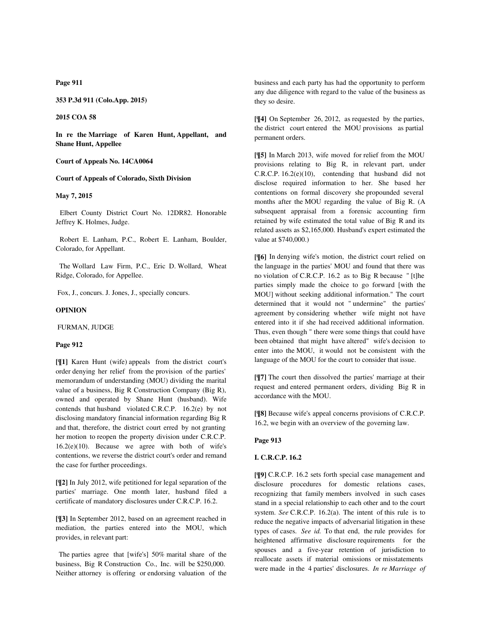**Page 911**

**353 P.3d 911 (Colo.App. 2015)**

**2015 COA 58**

**In re the Marriage of Karen Hunt, Appellant, and Shane Hunt, Appellee**

### **Court of Appeals No. 14CA0064**

#### **Court of Appeals of Colorado, Sixth Division**

# **May 7, 2015**

 Elbert County District Court No. 12DR82. Honorable Jeffrey K. Holmes, Judge.

 Robert E. Lanham, P.C., Robert E. Lanham, Boulder, Colorado, for Appellant.

 The Wollard Law Firm, P.C., Eric D. Wollard, Wheat Ridge, Colorado, for Appellee.

Fox, J., concurs. J. Jones, J., specially concurs.

#### **OPINION**

FURMAN, JUDGE

#### **Page 912**

**[¶1]** Karen Hunt (wife) appeals from the district court's order denying her relief from the provision of the parties' memorandum of understanding (MOU) dividing the marital value of a business, Big R Construction Company (Big R), owned and operated by Shane Hunt (husband). Wife contends that husband violated C.R.C.P. 16.2(e) by not disclosing mandatory financial information regarding Big R and that, therefore, the district court erred by not granting her motion to reopen the property division under C.R.C.P. 16.2(e)(10). Because we agree with both of wife's contentions, we reverse the district court's order and remand the case for further proceedings.

**[¶2]** In July 2012, wife petitioned for legal separation of the parties' marriage. One month later, husband filed a certificate of mandatory disclosures under C.R.C.P. 16.2.

**[¶3]** In September 2012, based on an agreement reached in mediation, the parties entered into the MOU, which provides, in relevant part:

 The parties agree that [wife's] 50% marital share of the business, Big R Construction Co., Inc. will be \$250,000. Neither attorney is offering or endorsing valuation of the business and each party has had the opportunity to perform any due diligence with regard to the value of the business as they so desire.

**[¶4]** On September 26, 2012, as requested by the parties, the district court entered the MOU provisions as partial permanent orders.

**[¶5]** In March 2013, wife moved for relief from the MOU provisions relating to Big R, in relevant part, under C.R.C.P. 16.2(e)(10), contending that husband did not disclose required information to her. She based her contentions on formal discovery she propounded several months after the MOU regarding the value of Big R. (A subsequent appraisal from a forensic accounting firm retained by wife estimated the total value of Big R and its related assets as \$2,165,000. Husband's expert estimated the value at \$740,000.)

**[¶6]** In denying wife's motion, the district court relied on the language in the parties' MOU and found that there was no violation of C.R.C.P. 16.2 as to Big R because " [t]he parties simply made the choice to go forward [with the MOU] without seeking additional information." The court determined that it would not " undermine" the parties' agreement by considering whether wife might not have entered into it if she had received additional information. Thus, even though " there were some things that could have been obtained that might have altered" wife's decision to enter into the MOU, it would not be consistent with the language of the MOU for the court to consider that issue.

**[¶7]** The court then dissolved the parties' marriage at their request and entered permanent orders, dividing Big R in accordance with the MOU.

**[¶8]** Because wife's appeal concerns provisions of C.R.C.P. 16.2, we begin with an overview of the governing law.

#### **Page 913**

#### **I. C.R.C.P. 16.2**

**[¶9]** C.R.C.P. 16.2 sets forth special case management and disclosure procedures for domestic relations cases, recognizing that family members involved in such cases stand in a special relationship to each other and to the court system. *See* C.R.C.P. 16.2(a). The intent of this rule is to reduce the negative impacts of adversarial litigation in these types of cases. *See id.* To that end, the rule provides for heightened affirmative disclosure requirements for the spouses and a five-year retention of jurisdiction to reallocate assets if material omissions or misstatements were made in the 4 parties' disclosures. *In re Marriage of*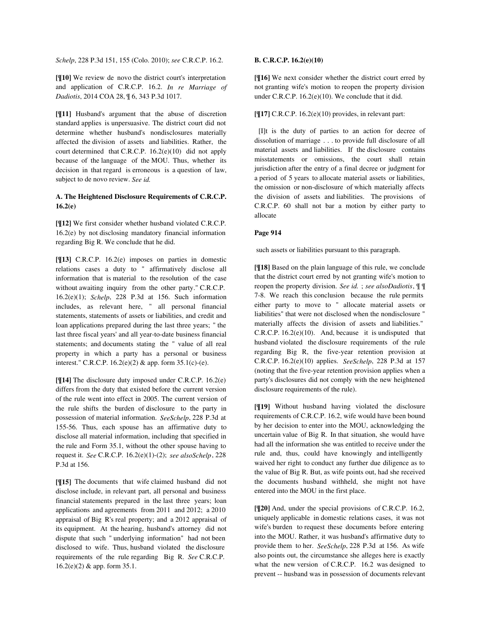*Schelp*, 228 P.3d 151, 155 (Colo. 2010); *see* C.R.C.P. 16.2.

**[¶10]** We review de novo the district court's interpretation and application of C.R.C.P. 16.2. *In re Marriage of Dadiotis*, 2014 COA 28, ¶ 6, 343 P.3d 1017.

**[¶11]** Husband's argument that the abuse of discretion standard applies is unpersuasive. The district court did not determine whether husband's nondisclosures materially affected the division of assets and liabilities. Rather, the court determined that C.R.C.P. 16.2(e)(10) did not apply because of the language of the MOU. Thus, whether its decision in that regard is erroneous is a question of law, subject to de novo review. *See id.*

# **A. The Heightened Disclosure Requirements of C.R.C.P. 16.2(e)**

**[¶12]** We first consider whether husband violated C.R.C.P. 16.2(e) by not disclosing mandatory financial information regarding Big R. We conclude that he did.

**[¶13]** C.R.C.P. 16.2(e) imposes on parties in domestic relations cases a duty to " affirmatively disclose all information that is material to the resolution of the case without awaiting inquiry from the other party." C.R.C.P. 16.2(e)(1); *Schelp*, 228 P.3d at 156. Such information includes, as relevant here, " all personal financial statements, statements of assets or liabilities, and credit and loan applications prepared during the last three years; " the last three fiscal years' and all year-to-date business financial statements; and documents stating the " value of all real property in which a party has a personal or business interest." C.R.C.P. 16.2(e)(2) & app. form 35.1(c)-(e).

**[¶14]** The disclosure duty imposed under C.R.C.P. 16.2(e) differs from the duty that existed before the current version of the rule went into effect in 2005. The current version of the rule shifts the burden of disclosure to the party in possession of material information. *SeeSchelp*, 228 P.3d at 155-56. Thus, each spouse has an affirmative duty to disclose all material information, including that specified in the rule and Form 35.1, without the other spouse having to request it. *See* C.R.C.P. 16.2(e)(1)-(2); *see alsoSchelp*, 228 P.3d at 156.

**[¶15]** The documents that wife claimed husband did not disclose include, in relevant part, all personal and business financial statements prepared in the last three years; loan applications and agreements from 2011 and 2012; a 2010 appraisal of Big R's real property; and a 2012 appraisal of its equipment. At the hearing, husband's attorney did not dispute that such " underlying information" had not been disclosed to wife. Thus, husband violated the disclosure requirements of the rule regarding Big R. *See* C.R.C.P. 16.2(e)(2) & app. form 35.1.

# **B. C.R.C.P. 16.2(e)(10)**

**[¶16]** We next consider whether the district court erred by not granting wife's motion to reopen the property division under C.R.C.P. 16.2(e)(10). We conclude that it did.

### **[¶17]** C.R.C.P. 16.2(e)(10) provides, in relevant part:

 [I]t is the duty of parties to an action for decree of dissolution of marriage . . . to provide full disclosure of all material assets and liabilities. If the disclosure contains misstatements or omissions, the court shall retain jurisdiction after the entry of a final decree or judgment for a period of 5 years to allocate material assets or liabilities, the omission or non-disclosure of which materially affects the division of assets and liabilities. The provisions of C.R.C.P. 60 shall not bar a motion by either party to allocate

## **Page 914**

such assets or liabilities pursuant to this paragraph.

**[¶18]** Based on the plain language of this rule, we conclude that the district court erred by not granting wife's motion to reopen the property division. *See id.* ; *see alsoDadiotis*, ¶ ¶ 7-8. We reach this conclusion because the rule permits either party to move to " allocate material assets or liabilities" that were not disclosed when the nondisclosure " materially affects the division of assets and liabilities." C.R.C.P. 16.2(e)(10). And, because it is undisputed that husband violated the disclosure requirements of the rule regarding Big R, the five-year retention provision at C.R.C.P. 16.2(e)(10) applies. *SeeSchelp*, 228 P.3d at 157 (noting that the five-year retention provision applies when a party's disclosures did not comply with the new heightened disclosure requirements of the rule).

**[¶19]** Without husband having violated the disclosure requirements of C.R.C.P. 16.2, wife would have been bound by her decision to enter into the MOU, acknowledging the uncertain value of Big R. In that situation, she would have had all the information she was entitled to receive under the rule and, thus, could have knowingly and intelligently waived her right to conduct any further due diligence as to the value of Big R. But, as wife points out, had she received the documents husband withheld, she might not have entered into the MOU in the first place.

**[¶20]** And, under the special provisions of C.R.C.P. 16.2, uniquely applicable in domestic relations cases, it was not wife's burden to request these documents before entering into the MOU. Rather, it was husband's affirmative duty to provide them to her. *SeeSchelp*, 228 P.3d at 156. As wife also points out, the circumstance she alleges here is exactly what the new version of C.R.C.P. 16.2 was designed to prevent -- husband was in possession of documents relevant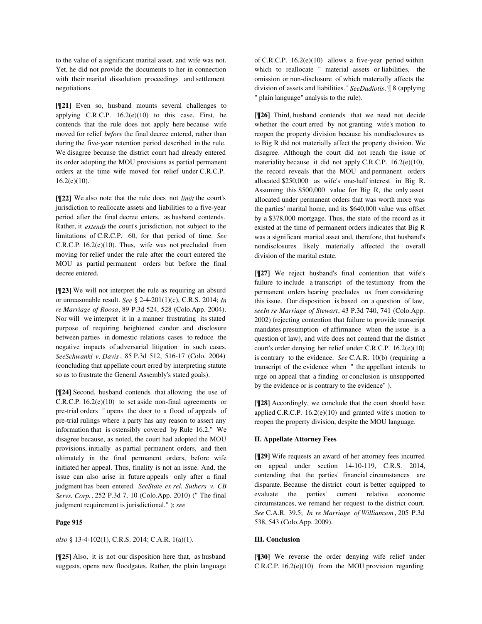to the value of a significant marital asset, and wife was not. Yet, he did not provide the documents to her in connection with their marital dissolution proceedings and settlement negotiations.

**[¶21]** Even so, husband mounts several challenges to applying C.R.C.P.  $16.2(e)(10)$  to this case. First, he contends that the rule does not apply here because wife moved for relief *before* the final decree entered, rather than during the five-year retention period described in the rule. We disagree because the district court had already entered its order adopting the MOU provisions as partial permanent orders at the time wife moved for relief under C.R.C.P.  $16.2(e)(10)$ .

**[¶22]** We also note that the rule does not *limit* the court's jurisdiction to reallocate assets and liabilities to a five-year period after the final decree enters, as husband contends. Rather, it *extends* the court's jurisdiction, not subject to the limitations of C.R.C.P. 60, for that period of time. *See* C.R.C.P. 16.2(e)(10). Thus, wife was not precluded from moving for relief under the rule after the court entered the MOU as partial permanent orders but before the final decree entered.

**[¶23]** We will not interpret the rule as requiring an absurd or unreasonable result. *See* § 2-4-201(1)(c), C.R.S. 2014; *In re Marriage of Roosa*, 89 P.3d 524, 528 (Colo.App. 2004). Nor will we interpret it in a manner frustrating its stated purpose of requiring heightened candor and disclosure between parties in domestic relations cases to reduce the negative impacts of adversarial litigation in such cases. *SeeSchwankl v. Davis*, 85 P.3d 512, 516-17 (Colo. 2004) (concluding that appellate court erred by interpreting statute so as to frustrate the General Assembly's stated goals).

**[¶24]** Second, husband contends that allowing the use of C.R.C.P. 16.2(e)(10) to set aside non-final agreements or pre-trial orders " opens the door to a flood of appeals of pre-trial rulings where a party has any reason to assert any information that is ostensibly covered by Rule 16.2." We disagree because, as noted, the court had adopted the MOU provisions, initially as partial permanent orders, and then ultimately in the final permanent orders, before wife initiated her appeal. Thus, finality is not an issue. And, the issue can also arise in future appeals only after a final judgment has been entered. *SeeState ex rel. Suthers v. CB Servs. Corp.*, 252 P.3d 7, 10 (Colo.App. 2010) (" The final judgment requirement is jurisdictional." ); *see*

### **Page 915**

*also* § 13-4-102(1), C.R.S. 2014; C.A.R. 1(a)(1).

**[¶25]** Also, it is not our disposition here that, as husband suggests, opens new floodgates. Rather, the plain language of C.R.C.P.  $16.2(e)(10)$  allows a five-year period within which to reallocate " material assets or liabilities, the omission or non-disclosure of which materially affects the division of assets and liabilities." *SeeDadiotis*, ¶ 8 (applying " plain language" analysis to the rule).

**[¶26]** Third, husband contends that we need not decide whether the court erred by not granting wife's motion to reopen the property division because his nondisclosures as to Big R did not materially affect the property division. We disagree. Although the court did not reach the issue of materiality because it did not apply C.R.C.P. 16.2(e)(10), the record reveals that the MOU and permanent orders allocated \$250,000 as wife's one-half interest in Big R. Assuming this \$500,000 value for Big R, the only asset allocated under permanent orders that was worth more was the parties' marital home, and its \$640,000 value was offset by a \$378,000 mortgage. Thus, the state of the record as it existed at the time of permanent orders indicates that Big R was a significant marital asset and, therefore, that husband's nondisclosures likely materially affected the overall division of the marital estate.

**[¶27]** We reject husband's final contention that wife's failure to include a transcript of the testimony from the permanent orders hearing precludes us from considering this issue. Our disposition is based on a question of law, *seeIn re Marriage of Stewart*, 43 P.3d 740, 741 (Colo.App. 2002) (rejecting contention that failure to provide transcript mandates presumption of affirmance when the issue is a question of law), and wife does not contend that the district court's order denying her relief under C.R.C.P. 16.2(e)(10) is contrary to the evidence. *See* C.A.R. 10(b) (requiring a transcript of the evidence when " the appellant intends to urge on appeal that a finding or conclusion is unsupported by the evidence or is contrary to the evidence" ).

**[¶28]** Accordingly, we conclude that the court should have applied C.R.C.P. 16.2(e)(10) and granted wife's motion to reopen the property division, despite the MOU language.

## **II. Appellate Attorney Fees**

**[¶29]** Wife requests an award of her attorney fees incurred on appeal under section 14-10-119, C.R.S. 2014, contending that the parties' financial circumstances are disparate. Because the district court is better equipped to evaluate the parties' current relative economic circumstances, we remand her request to the district court. *See* C.A.R. 39.5; *In re Marriage of Williamson* , 205 P.3d 538, 543 (Colo.App. 2009).

### **III. Conclusion**

**[¶30]** We reverse the order denying wife relief under C.R.C.P. 16.2(e)(10) from the MOU provision regarding